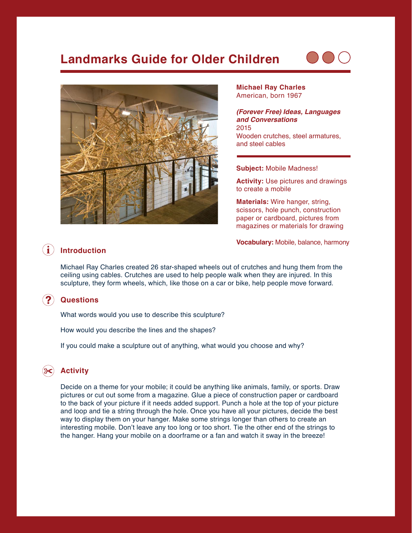# **Landmarks Guide for Older Children**





**Michael Ray Charles** American, born 1967

*(Forever Free) Ideas, Languages and Conversations* 2015 Wooden crutches, steel armatures, and steel cables

#### **Subject:** Mobile Madness!

**Activity:** Use pictures and drawings to create a mobile

**Materials:** Wire hanger, string, scissors, hole punch, construction paper or cardboard, pictures from magazines or materials for drawing

**Vocabulary:** Mobile, balance, harmony

#### $\mathbf{G}$ **Introduction**

Michael Ray Charles created 26 star-shaped wheels out of crutches and hung them from the ceiling using cables. Crutches are used to help people walk when they are injured. In this sculpture, they form wheels, which, like those on a car or bike, help people move forward.

#### $\mathbf{\mathbf{\Omega}}^{c}$ **Questions**

What words would you use to describe this sculpture?

How would you describe the lines and the shapes?

If you could make a sculpture out of anything, what would you choose and why?

## **Activity**

Decide on a theme for your mobile; it could be anything like animals, family, or sports. Draw pictures or cut out some from a magazine. Glue a piece of construction paper or cardboard to the back of your picture if it needs added support. Punch a hole at the top of your picture and loop and tie a string through the hole. Once you have all your pictures, decide the best way to display them on your hanger. Make some strings longer than others to create an interesting mobile. Don't leave any too long or too short. Tie the other end of the strings to the hanger. Hang your mobile on a doorframe or a fan and watch it sway in the breeze!